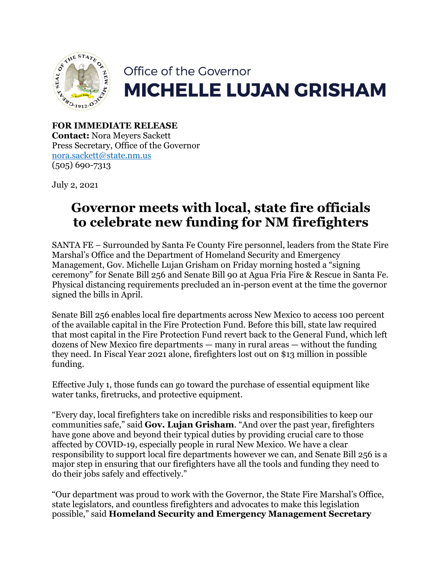

## Office of the Governor **MICHELLE LUJAN GRISHAM**

**FOR IMMEDIATE RELEASE Contact:** Nora Meyers Sackett Press Secretary, Office of the Governor [nora.sackett@state.nm.us](mailto:nora.sackett@state.nm.us) (505) 690-7313

July 2, 2021

## **Governor meets with local, state fire officials to celebrate new funding for NM firefighters**

SANTA FE – Surrounded by Santa Fe County Fire personnel, leaders from the State Fire Marshal's Office and the Department of Homeland Security and Emergency Management, Gov. Michelle Lujan Grisham on Friday morning hosted a "signing ceremony" for Senate Bill 256 and Senate Bill 90 at Agua Fria Fire & Rescue in Santa Fe. Physical distancing requirements precluded an in-person event at the time the governor signed the bills in April.

Senate Bill 256 enables local fire departments across New Mexico to access 100 percent of the available capital in the Fire Protection Fund. Before this bill, state law required that most capital in the Fire Protection Fund revert back to the General Fund, which left dozens of New Mexico fire departments — many in rural areas — without the funding they need. In Fiscal Year 2021 alone, firefighters lost out on \$13 million in possible funding.

Effective July 1, those funds can go toward the purchase of essential equipment like water tanks, firetrucks, and protective equipment.

"Every day, local firefighters take on incredible risks and responsibilities to keep our communities safe," said **Gov. Lujan Grisham**. "And over the past year, firefighters have gone above and beyond their typical duties by providing crucial care to those affected by COVID-19, especially people in rural New Mexico. We have a clear responsibility to support local fire departments however we can, and Senate Bill 256 is a major step in ensuring that our firefighters have all the tools and funding they need to do their jobs safely and effectively."

"Our department was proud to work with the Governor, the State Fire Marshal's Office, state legislators, and countless firefighters and advocates to make this legislation possible," said **Homeland Security and Emergency Management Secretary**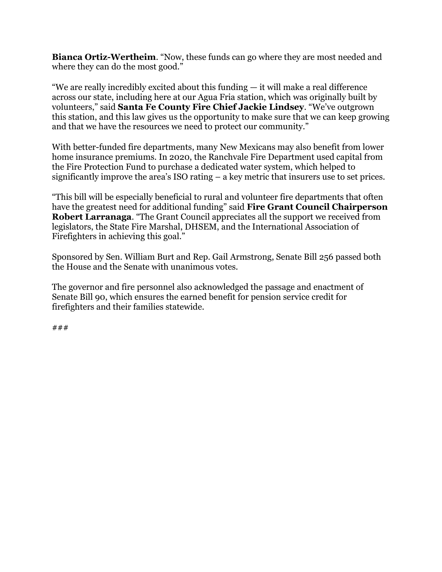**Bianca Ortiz-Wertheim**. "Now, these funds can go where they are most needed and where they can do the most good."

"We are really incredibly excited about this funding — it will make a real difference across our state, including here at our Agua Fria station, which was originally built by volunteers," said **Santa Fe County Fire Chief Jackie Lindsey**. "We've outgrown this station, and this law gives us the opportunity to make sure that we can keep growing and that we have the resources we need to protect our community."

With better-funded fire departments, many New Mexicans may also benefit from lower home insurance premiums. In 2020, the Ranchvale Fire Department used capital from the Fire Protection Fund to purchase a dedicated water system, which helped to significantly improve the area's ISO rating – a key metric that insurers use to set prices.

"This bill will be especially beneficial to rural and volunteer fire departments that often have the greatest need for additional funding" said **Fire Grant Council Chairperson Robert Larranaga**. "The Grant Council appreciates all the support we received from legislators, the State Fire Marshal, DHSEM, and the International Association of Firefighters in achieving this goal."

Sponsored by Sen. William Burt and Rep. Gail Armstrong, Senate Bill 256 passed both the House and the Senate with unanimous votes.

The governor and fire personnel also acknowledged the passage and enactment of Senate Bill 90, which ensures the earned benefit for pension service credit for firefighters and their families statewide.

###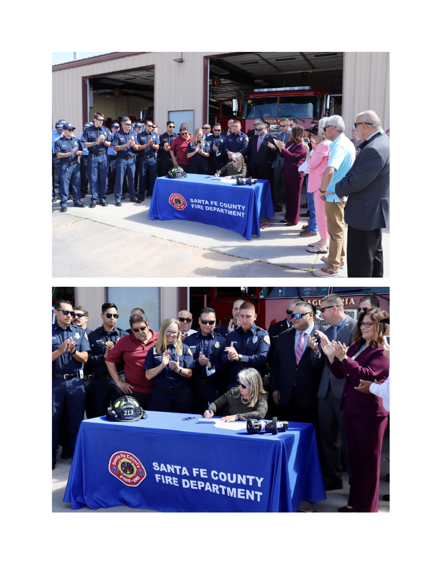